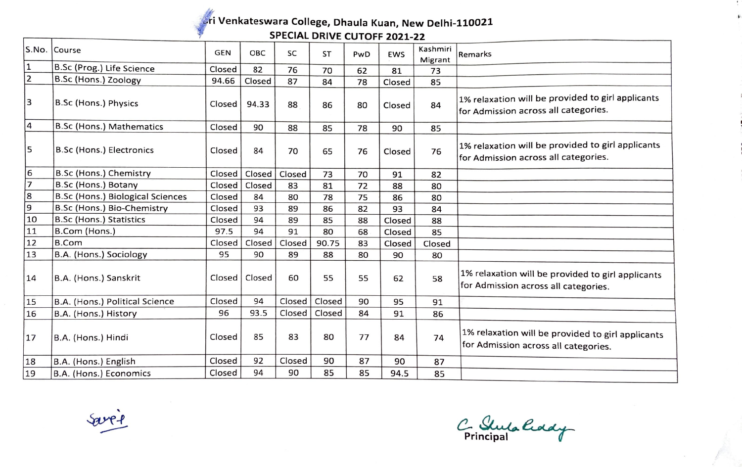## -~ **Venkateswara College, Dhaula Kuan, New Delhi-110021** *1* - **SPECIAL DRIVE CUTOFF 2021-22**

|                | S.No. Course                     | <b>GEN</b> | <b>OBC</b> | <b>SC</b> | <b>ST</b> | PwD | <b>EWS</b> | Kashmiri<br>Migrant | Remarks                                                                                   |
|----------------|----------------------------------|------------|------------|-----------|-----------|-----|------------|---------------------|-------------------------------------------------------------------------------------------|
| 11             | B.Sc (Prog.) Life Science        | Closed     | 82         | 76        | 70        | 62  | 81         | 73                  |                                                                                           |
| $\overline{2}$ | B.Sc (Hons.) Zoology             | 94.66      | Closed     | 87        | 84        | 78  | Closed     | 85                  |                                                                                           |
| 13             | <b>B.Sc (Hons.) Physics</b>      | Closed     | 94.33      | 88        | 86        | 80  | Closed     | 84                  | 1% relaxation will be provided to girl applicants<br>for Admission across all categories. |
| 4              | B.Sc (Hons.) Mathematics         | Closed     | 90         | 88        | 85        | 78  | 90         | 85                  |                                                                                           |
| 5              | <b>B.Sc (Hons.) Electronics</b>  | Closed     | 84         | 70        | 65        | 76  | Closed     | 76                  | 1% relaxation will be provided to girl applicants<br>for Admission across all categories. |
| 6              | B.Sc (Hons.) Chemistry           | Closed     | Closed     | Closed    | 73        | 70  | 91         | 82                  |                                                                                           |
| $\overline{7}$ | B.Sc (Hons.) Botany              | Closed     | Closed     | 83        | 81        | 72  | 88         | 80                  |                                                                                           |
| 8              | B.Sc (Hons.) Biological Sciences | Closed     | 84         | 80        | 78        | 75  | 86         | 80                  |                                                                                           |
| 9              | B.Sc (Hons.) Bio-Chemistry       | Closed     | 93         | 89        | 86        | 82  | 93         | 84                  |                                                                                           |
| 10             | <b>B.Sc (Hons.) Statistics</b>   | Closed     | 94         | 89        | 85        | 88  | Closed     | 88                  |                                                                                           |
| 11             | B.Com (Hons.)                    | 97.5       | 94         | 91        | 80        | 68  | Closed     | 85                  |                                                                                           |
| 12             | <b>B.Com</b>                     | Closed     | Closed     | Closed    | 90.75     | 83  | Closed     | Closed              |                                                                                           |
| 13             | B.A. (Hons.) Sociology           | 95         | 90         | 89        | 88        | 80  | 90         | 80                  |                                                                                           |
| 14             | B.A. (Hons.) Sanskrit            | Closed     | Closed     | 60        | 55        | 55  | 62         | 58                  | 1% relaxation will be provided to girl applicants<br>for Admission across all categories. |
| 15             | B.A. (Hons.) Political Science   | Closed     | 94         | Closed    | Closed    | 90  | 95         | 91                  |                                                                                           |
| 16             | B.A. (Hons.) History             | 96         | 93.5       | Closed    | Closed    | 84  | 91         | 86                  |                                                                                           |
| 17             | B.A. (Hons.) Hindi               | Closed     | 85         | 83        | 80        | 77  | 84         | 74                  | 1% relaxation will be provided to girl applicants<br>for Admission across all categories. |
| 18             | B.A. (Hons.) English             | Closed     | 92         | Closed    | 90        | 87  | 90         | 87                  |                                                                                           |
| 19             | B.A. (Hons.) Economics           | Closed     | 94         | 90        | 85        | 85  | 94.5       | 85                  |                                                                                           |

' *~..f*  ---

C. Stuta hady

-9  $\bar{\nu}$